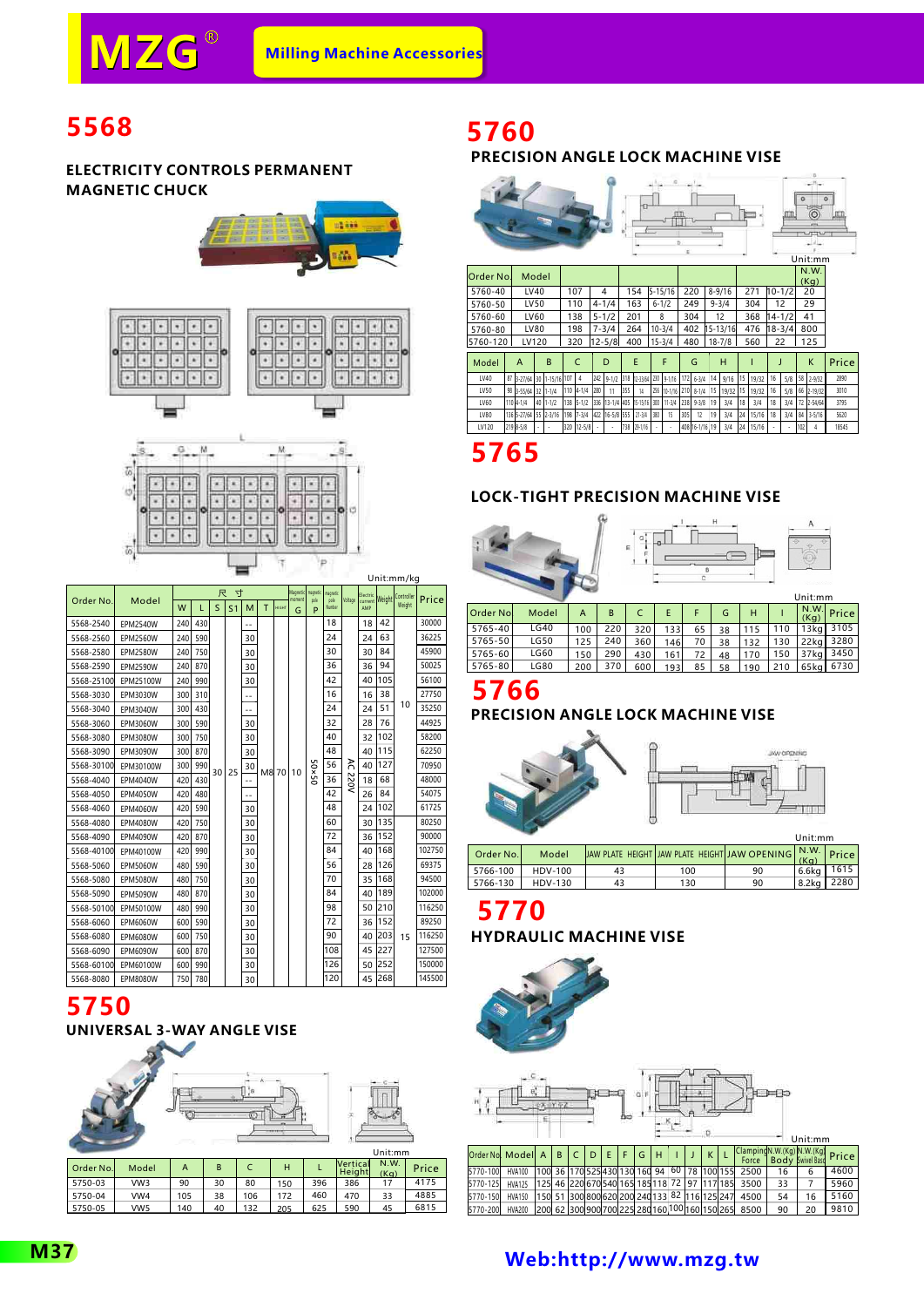Unit:mm/kg

Þ

# **5568**

#### **ELECTRICITY CONTROLS PERMANENT MAGNETIC CHUCK**





|            |                 |     |     | 尺  | 寸              |     |   |              | <b>Magnetic</b><br>moment | magnetic       | maqnetic       |         | Electric       | <b>Weight</b> | Controller |        |
|------------|-----------------|-----|-----|----|----------------|-----|---|--------------|---------------------------|----------------|----------------|---------|----------------|---------------|------------|--------|
| Order No.  | Model           | W   | L   | S  | S <sub>1</sub> | M   | T | <b>HIGHT</b> | G                         | pole<br>P      | pole<br>Number | Voltage | current<br>AMP |               | Weight     | Price  |
| 5568-2540  | <b>EPM2540W</b> | 240 | 430 |    |                | --  |   |              |                           |                | 18             |         | 18             | 42            |            | 30000  |
| 5568-2560  | <b>EPM2560W</b> | 240 | 590 |    |                | 30  |   |              |                           |                | 24             |         | 24             | 63            |            | 36225  |
| 5568-2580  | <b>EPM2580W</b> | 240 | 750 |    |                | 30  |   |              |                           |                | 30             |         | 30             | 84            |            | 45900  |
| 5568-2590  | <b>EPM2590W</b> | 240 | 870 |    |                | 30  |   |              |                           |                | 36             |         | 36             | 94            |            | 50025  |
| 5568-25100 | EPM25100W       | 240 | 990 |    |                | 30  |   |              |                           |                | 42             |         | 40             | 105           |            | 56100  |
| 5568-3030  | EPM3030W        | 300 | 310 |    |                | $-$ |   |              |                           |                | 16             |         | 16             | 38            |            | 27750  |
| 5568-3040  | EPM3040W        | 300 | 430 |    |                | ٠.  |   |              |                           |                | 24             |         | 24             | 51            | 10         | 35250  |
| 5568-3060  | EPM3060W        | 300 | 590 |    |                | 30  |   |              |                           |                | 32             |         | 28             | 76            |            | 44925  |
| 5568-3080  | EPM3080W        | 300 | 750 |    |                | 30  |   |              |                           |                | 40             |         | 32             | 102           |            | 58200  |
| 5568-3090  | EPM3090W        | 300 | 870 |    |                | 30  |   |              |                           |                | 48             |         | 40             | 115           |            | 62250  |
| 5568-30100 | EPM30100W       | 300 | 990 | 30 | 25             | 30  |   | M8 70        | 10                        | $25 \times 05$ | 56             | λ       | 40             | 127           |            | 70950  |
| 5568-4040  | EPM4040W        | 420 | 430 |    |                |     |   |              |                           |                | 36             | 220V    | 18             | 68            |            | 48000  |
| 5568-4050  | <b>EPM4050W</b> | 420 | 480 |    |                | --  |   |              |                           |                | 42             |         | 26             | 84            |            | 54075  |
| 5568-4060  | <b>EPM4060W</b> | 420 | 590 |    |                | 30  |   |              |                           |                | 48             |         | 24             | 102           |            | 61725  |
| 5568-4080  | <b>EPM4080W</b> | 420 | 750 |    |                | 30  |   |              |                           |                | 60             |         | 30             | 135           |            | 80250  |
| 5568-4090  | EPM4090W        | 420 | 870 |    |                | 30  |   |              |                           |                | 72             |         | 36             | 152           |            | 90000  |
| 5568-40100 | EPM40100W       | 420 | 990 |    |                | 30  |   |              |                           |                | 84             |         | 40             | 168           |            | 102750 |
| 5568-5060  | <b>EPM5060W</b> | 480 | 590 |    |                | 30  |   |              |                           |                | 56             |         | 28             | 126           |            | 69375  |
| 5568-5080  | <b>EPM5080W</b> | 480 | 750 |    |                | 30  |   |              |                           |                | 70             |         | 35             | 168           |            | 94500  |
| 5568-5090  | <b>EPM5090W</b> | 480 | 870 |    |                | 30  |   |              |                           |                | 84             |         | 40             | 189           |            | 102000 |
| 5568-50100 | EPM50100W       | 480 | 990 |    |                | 30  |   |              |                           |                | 98             |         | 50             | 210           |            | 116250 |
| 5568-6060  | <b>EPM6060W</b> | 600 | 590 |    |                | 30  |   |              |                           |                | 72             |         | 36             | 152           |            | 89250  |
| 5568-6080  | <b>EPM6080W</b> | 600 | 750 |    |                | 30  |   |              |                           |                | 90             |         | 40             | 203           | 15         | 116250 |
| 5568-6090  | <b>EPM6090W</b> | 600 | 870 |    |                | 30  |   |              |                           |                | 108            |         | 45             | 227           |            | 127500 |
| 5568-60100 | EPM60100W       | 600 | 990 |    |                | 30  |   |              |                           |                | 126            |         | 50             | 252           |            | 150000 |
| 5568-8080  | <b>EPM8080W</b> | 750 | 780 |    |                | 30  |   |              |                           |                | 120            |         | 45             | 268           |            | 145500 |

# **5750**



132

205

625

590

45

6815

# **5760**

### **PRECISION ANGLE LOCK MACHINE VISE**

|             |                     |             |             |     |                                    |     | 41          |     | c<br>b          |     |                |    |                |    |       |    |            | o   | n<br>$-1$ H <sub>2</sub><br>$\circ$<br>Ö<br><b>Company</b><br>Unit:mm |       |
|-------------|---------------------|-------------|-------------|-----|------------------------------------|-----|-------------|-----|-----------------|-----|----------------|----|----------------|----|-------|----|------------|-----|-----------------------------------------------------------------------|-------|
| Order No.   | Model               |             |             |     |                                    |     |             |     |                 |     |                |    |                |    |       |    |            |     | N.W.<br>(Kq)                                                          |       |
| 5760-40     | LV40                |             | 107         |     | 4                                  |     | 154         |     | $5 - 15/16$     |     | 220            |    | $8 - 9/16$     |    | 271   |    | $10 - 1/2$ |     | 20                                                                    |       |
| 5760-50     | LV50                |             | 110         |     | $4 - 1/4$                          |     | 163         |     | $6 - 1/2$       |     | 249            |    | $9 - 3/4$      |    | 304   | 12 |            |     | 29                                                                    |       |
| 5760-60     | LV60                |             | 138         |     | $5 - 1/2$                          |     | 201         |     | 8               |     | 304            |    | 12             |    | 368   |    | $14 - 1/2$ |     | 41                                                                    |       |
| 5760-80     | LV80                |             | 198         |     | $7 - 3/4$                          |     | 264         |     | $10 - 3/4$      |     | 402            |    | $15 - 13/16$   |    | 476   |    | $18 - 3/4$ |     | 800                                                                   |       |
| 5760-120    | LV120               |             | 320         |     | $12 - 5/8$                         |     | 400         |     | $15 - 3/4$      |     | 480            |    | $18 - 7/8$     |    | 560   | 22 |            |     | 125                                                                   |       |
| Model       | A                   | B           | C           |     | D                                  |     | E           |     | F               |     | G              |    | H              |    |       | J  |            |     | K                                                                     | Price |
| LV40        | 87 3-27/64 30       | 1-15/16 107 | 4           | 242 | 9-1/2 318 12-33/64                 |     |             |     | 230 9-1/16      | 172 | $6 - 3/4$      | 14 | 9/16           | 15 | 19/32 | 16 | 5/8        |     | 58 2-9/32                                                             | 2890  |
| LV50        | 98 3-55/64 32 1-1/4 |             | 110 4-1/4   | 280 | 11                                 | 355 | 14          |     | 256 10-1/16 210 |     | $8 - 1/4$      | 15 | 19/32 15 19/32 |    |       | 16 | 5/8        |     | 66 2-19/32                                                            | 3010  |
| <b>IV60</b> | 110 4-1/4           | $40$ 1-1/2  | $138$ 5-1/2 |     | 336 13-1/4 405 15-15/16 300 11-3/4 |     |             |     |                 | 238 | $9 - 3/8$      | 19 | 3/4            | 18 | 3/4   | 18 | 3/4        |     | 72 2-54/64                                                            | 3795  |
| LV80        | 136 5-27/64         | 55 2-3/16   | 198 7-3/4   |     | 422 16-5/8 555                     |     | $21 - 3/4$  | 380 | 15              | 305 | 12             | 19 | 3/4            | 24 | 15/16 | 18 | 3/4        | 84  | $3 - 5/16$                                                            | 5620  |
| LV120       | 219 8-5/8           |             | 320 12-5/8  |     |                                    | 738 | $29 - 1/16$ |     |                 |     | 408 16-1/16 19 |    | 3/4            | 24 | 15/16 |    |            | 102 | 4                                                                     | 18545 |

**5765**

#### **LOCK-TIGHT PRECISION MACHINE VISE**

|          |       |     |     | G<br>$\epsilon$ |     | B  | н  |     | $\ddot{\diamond}$ | Α<br>Unit:mm     |       |
|----------|-------|-----|-----|-----------------|-----|----|----|-----|-------------------|------------------|-------|
| Order No | Model | A   | B   | C               | E   | F  | G  | H   |                   | N.W.<br>(Kg)     | Price |
| 5765-40  | LG40  | 100 | 220 | 320             | 133 | 65 | 38 | 115 | 110               | 13 <sub>kq</sub> | 3105  |
| 5765-50  | LG50  | 125 | 240 | 360             | 146 | 70 | 38 | 132 | 130               | $22$ kg          | 3280  |
| 5765-60  | LG60  | 150 | 290 | 430             | 161 | 72 | 48 | 170 | 150               | 37kg             | 3450  |
| 5765-80  | LG80  | 200 | 370 | 600             | 193 | 85 | 58 | 190 | 210               | 65kg             | 6730  |

# **5766**

### **PRECISION ANGLE LOCK MACHINE VISE**



|           |         |    |     |                                                    | <b>UIIIL.IIIII</b> |       |
|-----------|---------|----|-----|----------------------------------------------------|--------------------|-------|
| Order No. | Model   |    |     | IJAW PLATE HEIGHT JAW PLATE HEIGHT JAW OPENING KG) |                    | Price |
| 5766-100  | HDV-100 | 43 | 100 | 90                                                 | 6.6ka              | 1615  |
| 5766-130  | HDV-130 | 43 | 130 | 90                                                 | 8.2ka              | 2280  |
|           |         |    |     |                                                    |                    |       |

# **5770**





## **[Web:http://www.mzg.tw](http://www.mzg.tw)**

5750-05

VW5

140

40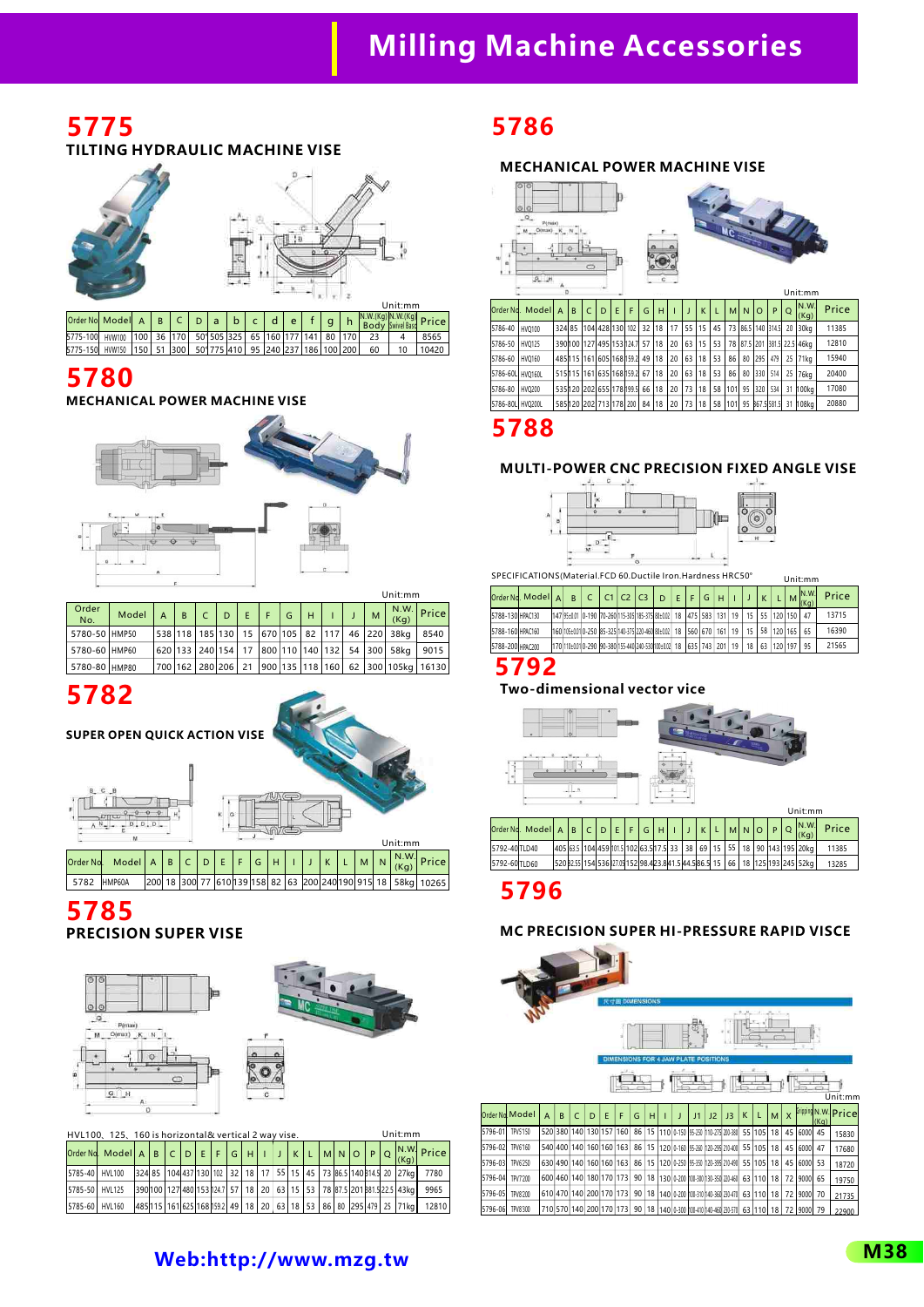# **Milling Machine Accessories**

### **5775 TILTING HYDRAULIC MACHINE VISE**



| Order No. Model A                                                                     |        |  |                                             |  |  |  |  |     | $\begin{bmatrix} N.W.(Kg) \ N.W.(Kg) \end{bmatrix}$ Price |
|---------------------------------------------------------------------------------------|--------|--|---------------------------------------------|--|--|--|--|-----|-----------------------------------------------------------|
| 5775-100                                                                              | HVW100 |  | 100 36 170 50 505 325 65 160 177 141 80 170 |  |  |  |  |     | 8565                                                      |
| 5775-150  HVW150   150   51   300   50   775   410   95   240   237   186   100   200 |        |  |                                             |  |  |  |  | -60 | 10420                                                     |

## **5780**

#### **MECHANICAL POWER MACHINE VISE**



| Order<br>No.    | Model | B | $\mathsf{C}$ | D | E | l Fil | G | H |  | M | (Kq)                                               | $\left  \frac{\text{N.W.}}{\text{W2}} \right $ Price  |
|-----------------|-------|---|--------------|---|---|-------|---|---|--|---|----------------------------------------------------|-------------------------------------------------------|
| 5780-50 HMP50   |       |   |              |   |   |       |   |   |  |   | 538 118 185 130 15 670 105 82 117 46 220 38kg 8540 |                                                       |
| i 5780-60 HMP60 |       |   |              |   |   |       |   |   |  |   | 620 133 240 154 17 800 110 140 132 54 300 58kg     | 19015                                                 |
| 5780-80 HMP80   |       |   |              |   |   |       |   |   |  |   |                                                    | 700 162 280 206 21 900 135 118 160 62 300 105kg 16130 |



**SUPER OPEN QUICK ACTION VISE**



5782 HMP60A 200 18 300 77 610 139 158 82 63 200 240 190 915 18 58kg 10265

### **5785 PRECISION SUPER VISE**



|                | HVL100, 125, 160 is horizontal& vertical 2 way vise.                                                            |  |  |  |  |  |  |  |  | Unit:mm                                                                                               |       |
|----------------|-----------------------------------------------------------------------------------------------------------------|--|--|--|--|--|--|--|--|-------------------------------------------------------------------------------------------------------|-------|
|                | $\boxed{\frac{1}{\text{Order Nd. Model } A \text{ B } C \text{ D } E F G H   I J K L   M N O P Q \text{ (Kg)}}$ |  |  |  |  |  |  |  |  |                                                                                                       |       |
| 5785-40 HVL100 |                                                                                                                 |  |  |  |  |  |  |  |  | 324 85 104 437 130 102 32 18 17 55 15 45 73 86.5 140 314.5 20 27kg                                    | 7780  |
| 5785-50 HVL125 |                                                                                                                 |  |  |  |  |  |  |  |  | 390 100   127 480   153   14.7   57   18   20   63   15   53   78   87.5   201   381.5   22.5   43 kg | 9965  |
| 5785-60 HVL160 |                                                                                                                 |  |  |  |  |  |  |  |  | 485 115 161 625 168 1592 49 18 20 63 18 53 86 80 295 479 25 71kg                                      | 12810 |

# **5786**

#### **MECHANICAL POWER MACHINE VISE**



|                  |        |                |   |            |                                 |   |   |                 |    |    |    |      |    |     |    |          |                      |         | unu.                        |       |
|------------------|--------|----------------|---|------------|---------------------------------|---|---|-----------------|----|----|----|------|----|-----|----|----------|----------------------|---------|-----------------------------|-------|
| lOrder Nd.       | Modell | $\overline{A}$ | B | $\epsilon$ | D                               | E | F | G               | н  |    |    | K    |    | мI  | N  | $\Omega$ | P                    | $\circ$ | N.W<br>(Kg)                 | Price |
| 5786-40          | HV0100 | 324 85         |   |            | 104 428 130 102                 |   |   | 32 18           |    | 17 | 55 | 115  | 45 |     |    |          | 73 86.5 140 314.5 20 |         | 30 <sub>ka</sub>            | 11385 |
| 5786-50          | HV0125 |                |   |            | 390 100 127 495 153 1247        |   |   | 57 <sup>1</sup> | 18 | 20 | 63 | l 15 | 53 |     |    |          |                      |         | 78 87.5 201 381.5 22.5 46kg | 12810 |
| 5786-60          | HVO160 |                |   |            | 485 115 161 605 168 159 2 49 18 |   |   |                 |    | 20 | 63 | 18   | 53 | 86  | 80 | 295      | 479                  |         | 25 71kg                     | 15940 |
| 5786-60L HV0160L |        |                |   |            | 515 115 161 635 168 1592        |   |   | 67              | 18 | 20 | 63 | 18   | 53 | 86  | 80 | 330      | 514                  | 25      | 76ka                        | 20400 |
| 5786-80          | HVO200 |                |   |            | 535 120 202 655 178 199.5       |   |   | 66 18           |    | 20 | 73 | 18   | 58 | 101 | 95 | 320      | 534                  | 31      | 100kg                       | 17080 |
| 5786-80L HVO200L |        |                |   |            | 585 120 202 713 178 200         |   |   | 84              | 18 | 20 | 73 | 18   | 58 | 101 |    |          | 95 B67.5 581.5       | 31      | 108kg                       | 20880 |
|                  |        |                |   |            |                                 |   |   |                 |    |    |    |      |    |     |    |          |                      |         |                             |       |

## **5788**

#### **MULTI-POWER CNC PRECISION FIXED ANGLE VISE**



SPECIFICATIONS(Material.FCD 60.Ductile Iron.Hardness HRC50°

|                  | SPECIFICATIONS (Material, FCD 60.Ductile Iron.Hardness HRC50° |   |                                                                                           |  |  |  |  |                 |            |               | Unit:mm       |       |
|------------------|---------------------------------------------------------------|---|-------------------------------------------------------------------------------------------|--|--|--|--|-----------------|------------|---------------|---------------|-------|
|                  | Order Nd. Modell Al                                           | B | $ c $ c $ c_1 $ c $z$ $ c_3 $ $ p $ $ E $ $ F $ G $ H $ $ I $                             |  |  |  |  |                 |            |               | IN.W.<br>(Kq) | Price |
| 5788-130 HPAC130 |                                                               |   | 147  95±0.01   0-190   70-260  115-305  185-375  80±0.02    18    475    583    131    19 |  |  |  |  |                 |            | 15 55 120 150 | 47            | 13715 |
| 5788-160 HPAC160 |                                                               |   | 160 105±0.010-250 85-325 140-375 220-460 80±0.02 18 560 670 1670 161 19 15 158 120 165 1  |  |  |  |  |                 |            |               | 65            | 16390 |
| 5788-200 HPAC200 |                                                               |   | 1701110±0.010-290 90-3801155-4401240-5301100±0.021 18 1635 1743 1 2011 19 1               |  |  |  |  | 18 <sup>1</sup> | 63 120 197 |               | 95            | 21565 |

### **5792**

#### **Two-dimensional vector vice**



|               | Order Ng. Model A $\mid$ B $\mid$ C $\mid$ D $\mid$ E $\mid$ F $\mid$ G $\mid$ H $\mid$ I $\mid$ J $\mid$ K $\mid$ L $\mid$ M $\mid$ N $\mid$ O $\mid$ P $\mid$ Q $\mid$ |  |  |  |  |  |  |  |  | $\lfloor N.W \rfloor$                                                                                | Price |
|---------------|--------------------------------------------------------------------------------------------------------------------------------------------------------------------------|--|--|--|--|--|--|--|--|------------------------------------------------------------------------------------------------------|-------|
| 5792-40TLD40  |                                                                                                                                                                          |  |  |  |  |  |  |  |  | 405 63.5 104 459 101.5 102 63.5 17.5 33   38   69   15   55   18   90   143   195   20kg             | 11385 |
| 5792-60 TLD60 |                                                                                                                                                                          |  |  |  |  |  |  |  |  | 520  82.55  154  536  27.09  152  98.4  23.8  41.5  44.5  86.5  15    66    18   125  193  245  52kg | 13285 |
|               |                                                                                                                                                                          |  |  |  |  |  |  |  |  |                                                                                                      |       |

## **5796**

#### **MC PRECISION SUPER HI-PRESSURE RAPID VISCE**

|         |                                                       |                |                         |   |   |   | 尺寸图 DIMENSIONS |    |   |  |                                |    |    |                                                                     |    |           |    |              | ÷       |      |                     |
|---------|-------------------------------------------------------|----------------|-------------------------|---|---|---|----------------|----|---|--|--------------------------------|----|----|---------------------------------------------------------------------|----|-----------|----|--------------|---------|------|---------------------|
|         | <b>DIMENSIONS</b><br><b>ATE POSITIONS</b><br>4 JAW PL |                |                         |   |   |   |                |    |   |  |                                |    |    |                                                                     |    |           |    |              |         |      |                     |
|         |                                                       |                |                         |   |   |   |                |    |   |  |                                |    |    |                                                                     |    |           |    |              |         |      | Unit:mm             |
|         | Order Nd. Model                                       | $\overline{A}$ | B                       | C | D | E | F              | G  | н |  |                                | J1 | J2 | J3                                                                  | K  |           | M  | $\mathsf{x}$ |         | (Ka) | Gripping N.W. Price |
| 5796-01 | TPV5'150                                              |                | 520 380 140 130 157 160 |   |   |   |                | 86 |   |  | 15 110 0-150 95-250            |    |    | 110-275 200-380                                                     |    | 55 105    | 18 | 45           | 6000    | 45   | 15830               |
| 5796-02 | TPV6'160                                              |                | 540 400 140 160 160 163 |   |   |   |                |    |   |  | 86   15   120   0-160   95-260 |    |    | 120-295 210-400                                                     |    | 55 105    | 18 | 45           | 6000    | 47   | 17680               |
| 5796-03 | TPV6'250                                              |                | 630 490 140 160 160 163 |   |   |   |                |    |   |  | 86   15   120   0-250   95-350 |    |    | 120-395 210-490                                                     |    | 55 105    | 18 | 45           | 6000    | 53   | 18720               |
| 5796-04 | TPV7'200                                              |                | 600 460 140 180 170 173 |   |   |   |                | 90 |   |  |                                |    |    | 18   130   0-200   100-300   130-350   220-460                      | 63 | 110       | 18 | 72           | 9000    | 65   | 19750               |
| 5796-05 | TPV8'200                                              |                | 610 470 140 200 170 173 |   |   |   |                |    |   |  |                                |    |    | 90   18   140   0-200   100-310   140-360   230-470                 |    | 63 110 18 |    | 72           | 9000    | 70   | 21735               |
| 5796-06 | TPV8'300                                              |                | 710 570 140 200 170 173 |   |   |   |                |    |   |  |                                |    |    | 90   18   140   0-300   100-410   140-460   230-570   63   110   18 |    |           |    |              | 72 9000 | 79   | 22900               |

### **[Web:http://www.mzg.tw](http://www.mzg.tw)**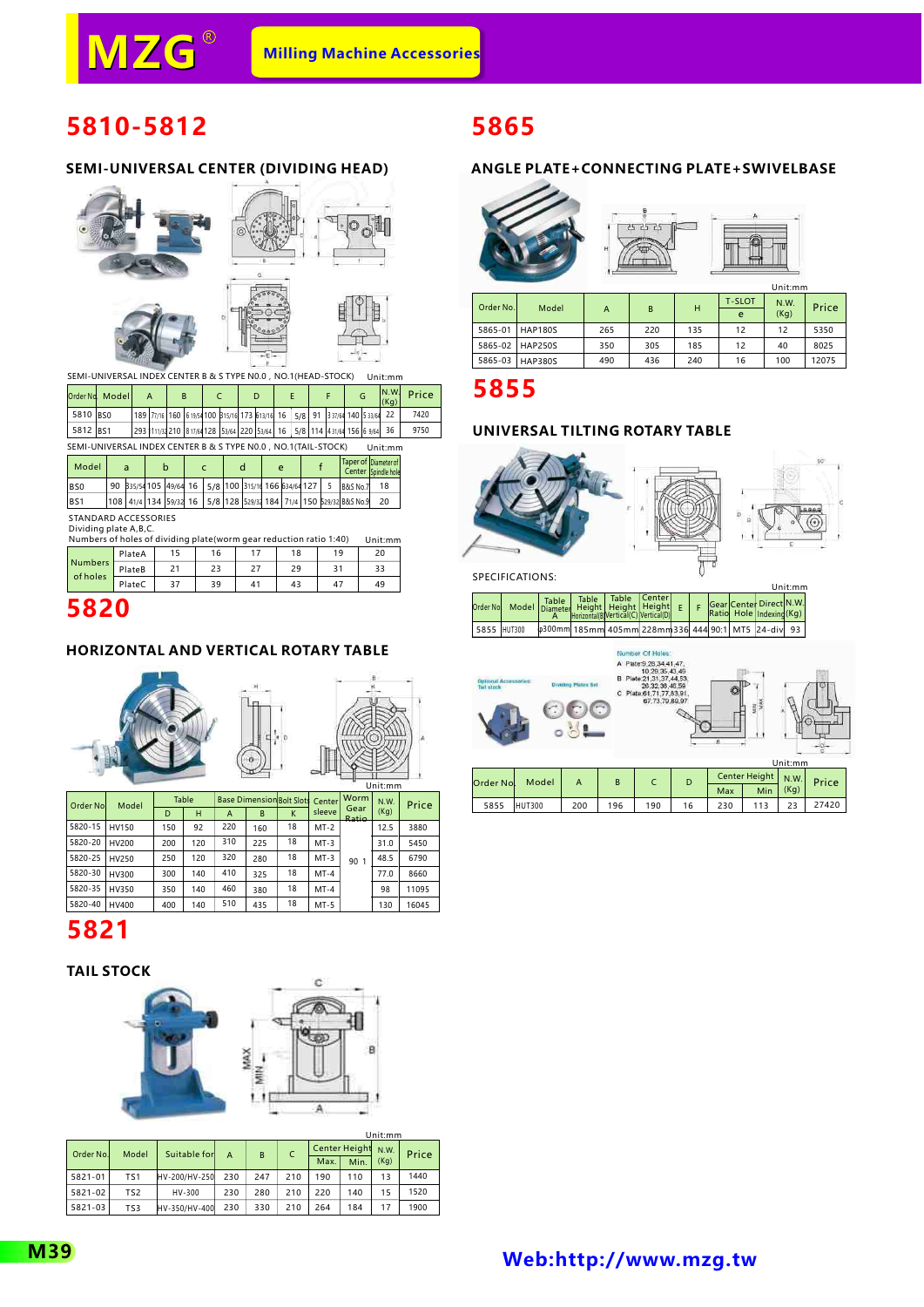# **5810-5812**

#### **SEMI-UNIVERSAL CENTER (DIVIDING HEAD)**



SEMI-UNIVERSAL INDEX CENTER B & S TYPE N0.0 , NO.1(HEAD-STOCK) Unit:mm

|          | Order Nd. Modell                                                | A                                                                         | B |  |  | D |  |  | G | IN.W.<br>(Kg)        | Price |
|----------|-----------------------------------------------------------------|---------------------------------------------------------------------------|---|--|--|---|--|--|---|----------------------|-------|
| 5810 BS0 |                                                                 | 189 77/16 160 619/54 100 315/16 173 613/16 16 5/8 91 337/64 140 533/64 22 |   |  |  |   |  |  |   |                      | 7420  |
| 5812 BS1 |                                                                 | 293 1111/32 210 817/6 128 53/64 220 53/64 16 5/8 114 431/64 156 6 9/64 36 |   |  |  |   |  |  |   |                      | 9750  |
|          | SEMI-UNIVERSAL INDEX CENTER B & S TYPE N0.0 , NO.1 (TAIL-STOCK) |                                                                           |   |  |  |   |  |  |   | Unit:mm              |       |
| .        |                                                                 |                                                                           |   |  |  |   |  |  |   | Taner of Diameter of |       |

| Model           |  | b                                                   |  |  | e |  |                                                                   | <b>I</b> laper of IDiameter of<br>Center Spindle hole |
|-----------------|--|-----------------------------------------------------|--|--|---|--|-------------------------------------------------------------------|-------------------------------------------------------|
| B <sub>S0</sub> |  | 90 335/54105 49/64 16 5/8 100 315/14 166 634/64 127 |  |  |   |  | <b>B&amp;S No.7</b>                                               |                                                       |
| BS <sub>1</sub> |  |                                                     |  |  |   |  | 108 41/4 134 59/32 16 5/8 128 529/34 184 71/4 150 529/32 8&S No.9 | 20                                                    |

STANDARD ACCESSORIES

| Dividing plate A, B, C.                                            |        |    |    |    |    |    |         |  |  |
|--------------------------------------------------------------------|--------|----|----|----|----|----|---------|--|--|
| Numbers of holes of dividing plate(worm gear reduction ratio 1:40) |        |    |    |    |    |    | Unit:mm |  |  |
|                                                                    | PlateA | 15 | 16 | 17 | 18 | 19 | 20      |  |  |
| <b>Numbers</b>                                                     | PlateB | 21 | 23 | 27 | 29 | 31 | 33      |  |  |
| of holes                                                           | PlateC | 37 | 39 | 41 | 43 | 47 | 49      |  |  |

## **5820**

#### **HORIZONTAL AND VERTICAL ROTARY TABLE**





| Order Nol | Model | Table |     |     |     | <b>Base Dimension Bolt Slots Center</b> |        | Worm                 | <b>N.W.</b> | Price |
|-----------|-------|-------|-----|-----|-----|-----------------------------------------|--------|----------------------|-------------|-------|
|           |       | D     | н   | A   | B   | K                                       | sleeve | Gear<br><b>Ratio</b> | (Kq)        |       |
| 5820-15   | HV150 | 150   | 92  | 220 | 160 | 18                                      | $MT-2$ |                      | 12.5        | 3880  |
| 5820-20   | HV200 | 200   | 120 | 310 | 225 | 18                                      | $MT-3$ |                      | 31.0        | 5450  |
| 5820-25   | HV250 | 250   | 120 | 320 | 280 | 18                                      | $MT-3$ | 90 <sub>1</sub>      | 48.5        | 6790  |
| 5820-30   | HV300 | 300   | 140 | 410 | 325 | 18                                      | $MT-4$ |                      | 77.0        | 8660  |
| 5820-35   | HV350 | 350   | 140 | 460 | 380 | 18                                      | $MT-4$ |                      | 98          | 11095 |
| 5820-40   | HV400 | 400   | 140 | 510 | 435 | 18                                      | $MT-5$ |                      | 130         | 16045 |

# **5821**

#### **TAIL STOCK**



|           |                 |               |     |     |     |                      |      | Unit:mm |       |  |
|-----------|-----------------|---------------|-----|-----|-----|----------------------|------|---------|-------|--|
| Order No. | Model           | Suitable for  | A   | B   |     | <b>Center Height</b> |      | N.W.    | Price |  |
|           |                 |               |     |     |     | Max.                 | Min. | (Kq)    |       |  |
| 5821-01   | TS <sub>1</sub> | HV-200/HV-250 | 230 | 247 | 210 | 190                  | 110  | 13      | 1440  |  |
| 5821-02   | TS <sub>2</sub> | HV-300        | 230 | 280 | 210 | 220                  | 140  | 15      | 1520  |  |
| 5821-03   | TS3             | HV-350/HV-400 | 230 | 330 | 210 | 264                  | 184  | 17      | 1900  |  |

# **5865**

### **ANGLE PLATE+CONNECTING PLATE+SWIVELBASE**

| ۳à |         |
|----|---------|
|    | Unit:mm |

| Order No. | Model           |     | B   | н   | <b>T-SLOT</b><br>e | N.W.<br>(Kq) | Price |
|-----------|-----------------|-----|-----|-----|--------------------|--------------|-------|
| 5865-01   | <b>HAP180S</b>  | 265 | 220 | 135 | 12                 | 12           | 5350  |
|           | 5865-02 HAP250S | 350 | 305 | 185 | 12                 | 40           | 8025  |
| 5865-03   | HAP380S         | 490 | 436 | 240 | 16                 | 100          | 12075 |

## **5855**

### **UNIVERSAL TILTING ROTARY TABLE**



SPECIFICATIONS:

|             |                                          |  |                                                                |  |  |                                                     | Unit:mm |  |
|-------------|------------------------------------------|--|----------------------------------------------------------------|--|--|-----------------------------------------------------|---------|--|
|             | Order No. Model Table Table Table Center |  | Table   Table   Center<br>Horizontal(B)Vertical(C) Vertical(D) |  |  | Gear Center Direct N.W.<br>Ratio Hole Indexing (Kg) |         |  |
| 5855 HUT300 |                                          |  | 0300mm 185mm 405mm 228mm 336 444 90:1 MT5 24-div 93            |  |  |                                                     |         |  |



|  | Order Nol | Model  |     |     |     |    |     |      |      | Center Height N.W. Price |
|--|-----------|--------|-----|-----|-----|----|-----|------|------|--------------------------|
|  |           |        |     |     |     |    | Max | Min. | (Kq) |                          |
|  | 5855      | HUT300 | 200 | 196 | 190 | 16 |     |      |      | 27420                    |